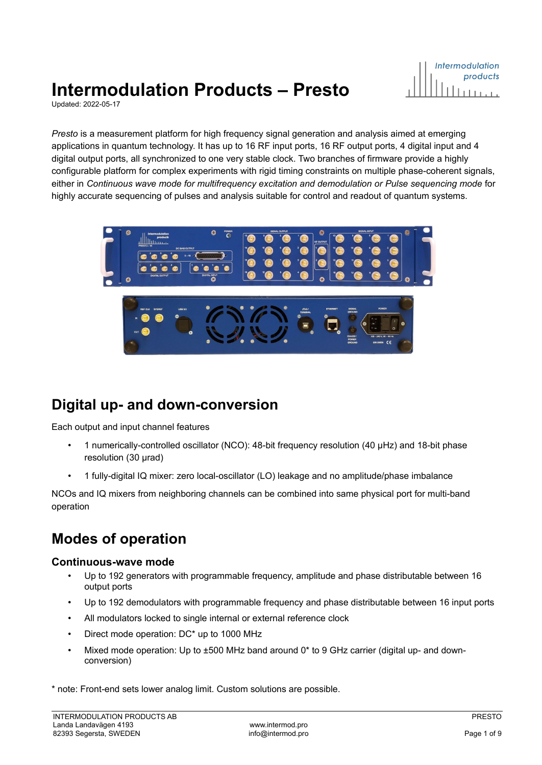# **Intermodulation Products – Presto**



Updated: 2022-05-17

*Presto* is a measurement platform for high frequency signal generation and analysis aimed at emerging applications in quantum technology. It has up to 16 RF input ports, 16 RF output ports, 4 digital input and 4 digital output ports, all synchronized to one very stable clock. Two branches of firmware provide a highly configurable platform for complex experiments with rigid timing constraints on multiple phase-coherent signals, either in *Continuous wave mode for multifrequency excitation and demodulation or Pulse sequencing mode* for highly accurate sequencing of pulses and analysis suitable for control and readout of quantum systems.



## **Digital up- and down-conversion**

Each output and input channel features

- 1 numerically-controlled oscillator (NCO): 48-bit frequency resolution (40 μHz) and 18-bit phase resolution (30 μrad)
- 1 fully-digital IQ mixer: zero local-oscillator (LO) leakage and no amplitude/phase imbalance

NCOs and IQ mixers from neighboring channels can be combined into same physical port for multi-band operation

## **Modes of operation**

#### **Continuous-wave mode**

- Up to 192 generators with programmable frequency, amplitude and phase distributable between 16 output ports
- Up to 192 demodulators with programmable frequency and phase distributable between 16 input ports
- All modulators locked to single internal or external reference clock
- Direct mode operation: DC\* up to 1000 MHz
- Mixed mode operation: Up to ±500 MHz band around 0\* to 9 GHz carrier (digital up- and downconversion)

\* note: Front-end sets lower analog limit. Custom solutions are possible.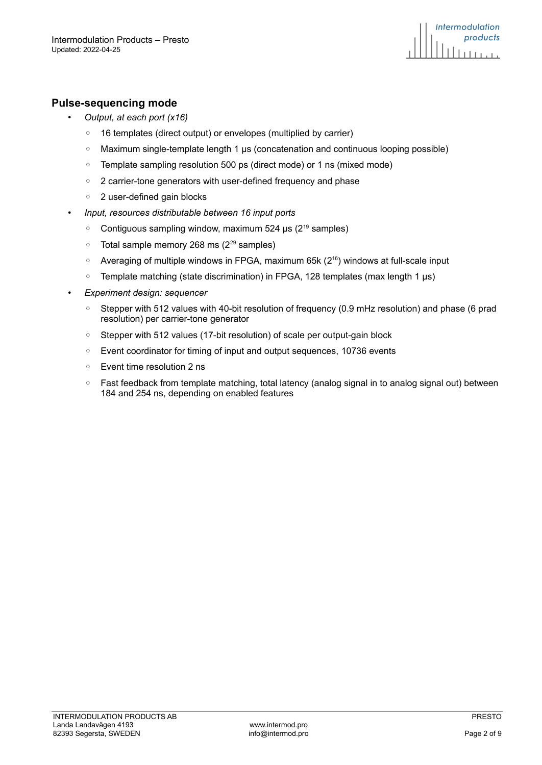

#### **Pulse-sequencing mode**

- *Output, at each port (x16)*
	- 16 templates (direct output) or envelopes (multiplied by carrier)
	- Maximum single-template length 1 μs (concatenation and continuous looping possible)
	- Template sampling resolution 500 ps (direct mode) or 1 ns (mixed mode)
	- 2 carrier-tone generators with user-defined frequency and phase
	- 2 user-defined gain blocks
- *Input, resources distributable between 16 input ports*
	- Contiguous sampling window, maximum 524 μs (2<sup>19</sup> samples)
	- Total sample memory 268 ms (2<sup>29</sup> samples)
	- Averaging of multiple windows in FPGA, maximum 65k (2 <sup>16</sup>) windows at full-scale input
	- Template matching (state discrimination) in FPGA, 128 templates (max length 1 μs)
- *Experiment design: sequencer*
	- Stepper with 512 values with 40-bit resolution of frequency (0.9 mHz resolution) and phase (6 prad resolution) per carrier-tone generator
	- Stepper with 512 values (17-bit resolution) of scale per output-gain block
	- Event coordinator for timing of input and output sequences, 10736 events
	- Event time resolution 2 ns
	- Fast feedback from template matching, total latency (analog signal in to analog signal out) between 184 and 254 ns, depending on enabled features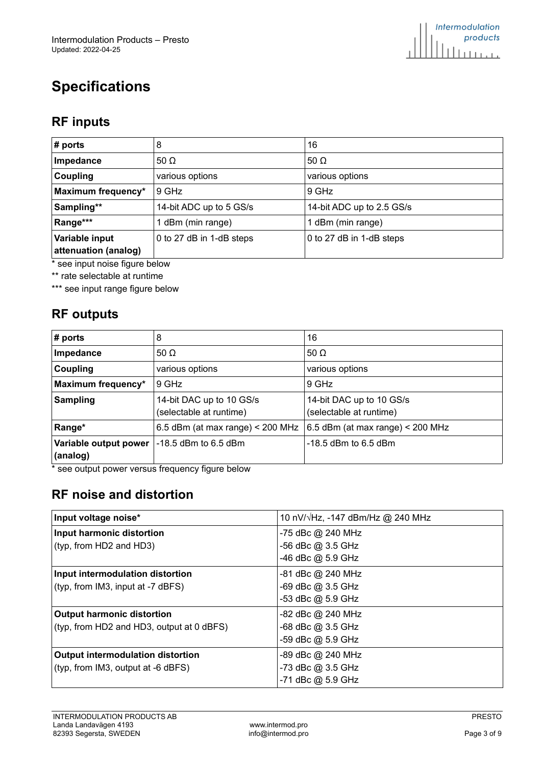## **Specifications**

#### **RF inputs**

| # ports                   | 8                          | 16                        |
|---------------------------|----------------------------|---------------------------|
| Impedance                 | 50 $\Omega$<br>50 $\Omega$ |                           |
| Coupling                  | various options            | various options           |
| Maximum frequency*        | 9 GHz                      | 9 GHz                     |
| Sampling**                | 14-bit ADC up to 5 GS/s    | 14-bit ADC up to 2.5 GS/s |
| Range***                  | 1 dBm (min range)          | 1 dBm (min range)         |
| Variable input            | 0 to 27 dB in 1-dB steps   | 0 to 27 dB in 1-dB steps  |
| attenuation (analog)<br>. |                            |                           |

\* see input noise figure below

\*\* rate selectable at runtime

\*\*\* see input range figure below

#### **RF outputs**

| # ports                           | 8                                                   | 16                                                  |  |
|-----------------------------------|-----------------------------------------------------|-----------------------------------------------------|--|
| Impedance                         | 50 $\Omega$                                         | 50 $\Omega$                                         |  |
| <b>Coupling</b>                   | various options                                     | various options                                     |  |
| Maximum frequency*                | 9 GHz                                               | 9 GHz                                               |  |
| <b>Sampling</b>                   | 14-bit DAC up to 10 GS/s<br>(selectable at runtime) | 14-bit DAC up to 10 GS/s<br>(selectable at runtime) |  |
| Range*                            | 6.5 dBm (at max range) $<$ 200 MHz                  | 6.5 dBm (at max range) $<$ 200 MHz                  |  |
| Variable output power<br>(analog) | -18.5 dBm to 6.5 dBm                                | $-18.5$ dBm to 6.5 dBm                              |  |

\* see output power versus frequency figure below

#### **RF noise and distortion**

| Input voltage noise*                      | 10 nV/ $\sqrt{Hz}$ , -147 dBm/Hz @ 240 MHz |
|-------------------------------------------|--------------------------------------------|
| Input harmonic distortion                 | -75 dBc @ 240 MHz                          |
| (typ, from HD2 and HD3)                   | -56 dBc @ 3.5 GHz                          |
|                                           | -46 dBc @ 5.9 GHz                          |
| Input intermodulation distortion          | -81 dBc @ 240 MHz                          |
| (typ, from IM3, input at -7 dBFS)         | -69 dBc @ 3.5 GHz                          |
|                                           | -53 dBc @ 5.9 GHz                          |
| <b>Output harmonic distortion</b>         | -82 dBc @ 240 MHz                          |
| (typ, from HD2 and HD3, output at 0 dBFS) | -68 dBc @ 3.5 GHz                          |
|                                           | -59 dBc @ 5.9 GHz                          |
| Output intermodulation distortion         | -89 dBc @ 240 MHz                          |
| (typ, from IM3, output at -6 dBFS)        | -73 dBc @ 3.5 GHz                          |
|                                           | -71 dBc @ 5.9 GHz                          |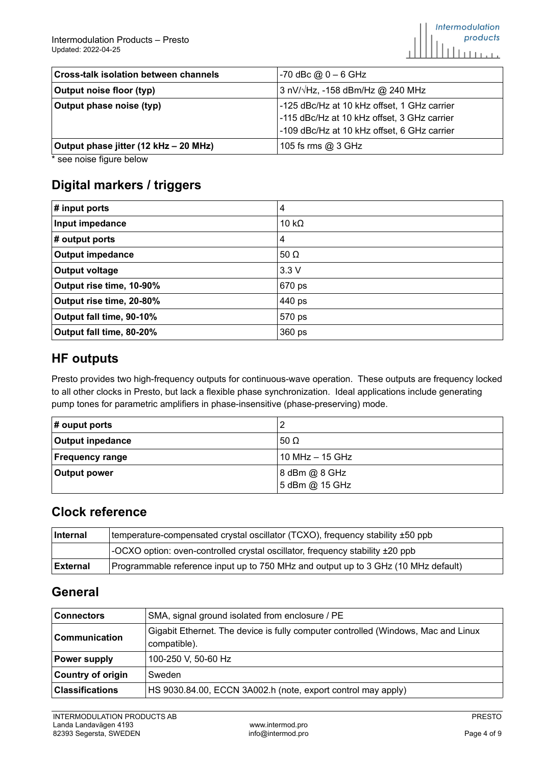| <b>Cross-talk isolation between channels</b> | $-70$ dBc $@0 - 6$ GHz                                                                                                                    |
|----------------------------------------------|-------------------------------------------------------------------------------------------------------------------------------------------|
| Output noise floor (typ)                     | 3 nV/√Hz, -158 dBm/Hz @ 240 MHz                                                                                                           |
| Output phase noise (typ)                     | -125 dBc/Hz at 10 kHz offset, 1 GHz carrier<br>-115 dBc/Hz at 10 kHz offset, 3 GHz carrier<br>-109 dBc/Hz at 10 kHz offset, 6 GHz carrier |
| Output phase jitter (12 kHz – 20 MHz)        | 105 fs rms @ 3 GHz                                                                                                                        |

\* see noise figure below

#### **Digital markers / triggers**

| # input ports            | 4             |
|--------------------------|---------------|
| Input impedance          | 10 k $\Omega$ |
| # output ports           | 4             |
| <b>Output impedance</b>  | 50 $\Omega$   |
| Output voltage           | 3.3V          |
| Output rise time, 10-90% | 670 ps        |
| Output rise time, 20-80% | 440 ps        |
| Output fall time, 90-10% | 570 ps        |
| Output fall time, 80-20% | 360 ps        |

#### **HF outputs**

Presto provides two high-frequency outputs for continuous-wave operation. These outputs are frequency locked to all other clocks in Presto, but lack a flexible phase synchronization. Ideal applications include generating pump tones for parametric amplifiers in phase-insensitive (phase-preserving) mode.

| $\#$ ouput ports        | 2                                             |
|-------------------------|-----------------------------------------------|
| <b>Output inpedance</b> | $50$ Ω                                        |
| <b>Frequency range</b>  | 10 MHz – 15 GHz                               |
| Output power            | $ 8$ dBm $@$ 8 GHz                            |
|                         | $\overline{5}$ dBm $\overline{\omega}$ 15 GHz |

#### **Clock reference**

| Internal        | temperature-compensated crystal oscillator (TCXO), frequency stability ±50 ppb     |  |
|-----------------|------------------------------------------------------------------------------------|--|
|                 | -OCXO option: oven-controlled crystal oscillator, frequency stability ±20 ppb      |  |
| <b>External</b> | Programmable reference input up to 750 MHz and output up to 3 GHz (10 MHz default) |  |

#### **General**

| <b>Connectors</b>        | SMA, signal ground isolated from enclosure / PE                                                   |  |
|--------------------------|---------------------------------------------------------------------------------------------------|--|
| <b>Communication</b>     | Gigabit Ethernet. The device is fully computer controlled (Windows, Mac and Linux<br>compatible). |  |
| <b>Power supply</b>      | 100-250 V, 50-60 Hz                                                                               |  |
| <b>Country of origin</b> | Sweden                                                                                            |  |
| <b>Classifications</b>   | HS 9030.84.00, ECCN 3A002.h (note, export control may apply)                                      |  |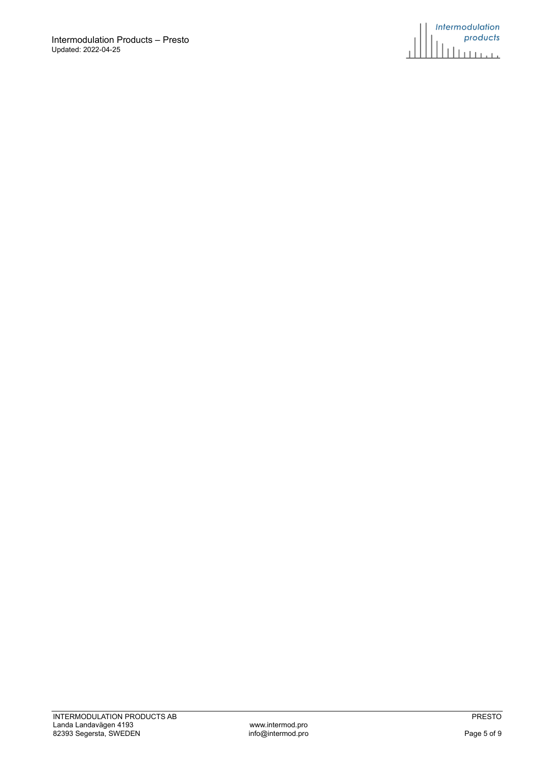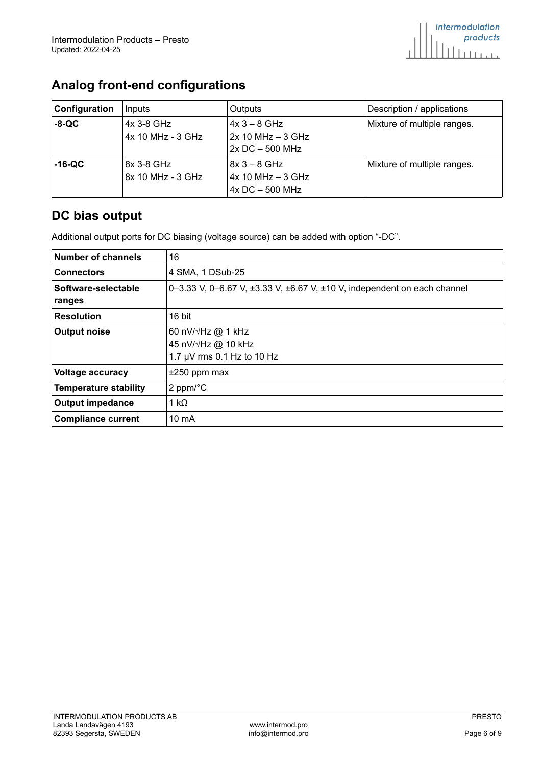#### **Analog front-end configurations**

| Configuration | Inputs                          | Outputs                                                    | Description / applications  |
|---------------|---------------------------------|------------------------------------------------------------|-----------------------------|
| $-8-OC$       | 4x 3-8 GHz<br>4x 10 MHz - 3 GHz | $4x3 - 8$ GHz<br>$2x 10 MHz - 3 GHz$<br>$2x$ DC $-500$ MHz | Mixture of multiple ranges. |
| $-16-QC$      | 8x 3-8 GHz<br>8x 10 MHz - 3 GHz | $8x3 - 8$ GHz<br>$4x 10 MHz - 3 GHz$<br>$4x$ DC $-500$ MHz | Mixture of multiple ranges. |

#### **DC bias output**

Additional output ports for DC biasing (voltage source) can be added with option "-DC".

| <b>Number of channels</b>    | 16                                                                       |  |
|------------------------------|--------------------------------------------------------------------------|--|
| <b>Connectors</b>            | 4 SMA, 1 DSub-25                                                         |  |
| Software-selectable          | 0-3.33 V, 0-6.67 V, ±3.33 V, ±6.67 V, ±10 V, independent on each channel |  |
| ranges                       |                                                                          |  |
| <b>Resolution</b>            | 16 bit                                                                   |  |
| <b>Output noise</b>          | 60 nV/√Hz @ 1 kHz                                                        |  |
|                              | 45 nV/√Hz @ 10 kHz                                                       |  |
|                              | 1.7 $\mu$ V rms 0.1 Hz to 10 Hz                                          |  |
| <b>Voltage accuracy</b>      | $±250$ ppm max                                                           |  |
| <b>Temperature stability</b> | 2 ppm/ $\mathrm{C}$                                                      |  |
| <b>Output impedance</b>      | 1 k $\Omega$                                                             |  |
| <b>Compliance current</b>    | 10 mA                                                                    |  |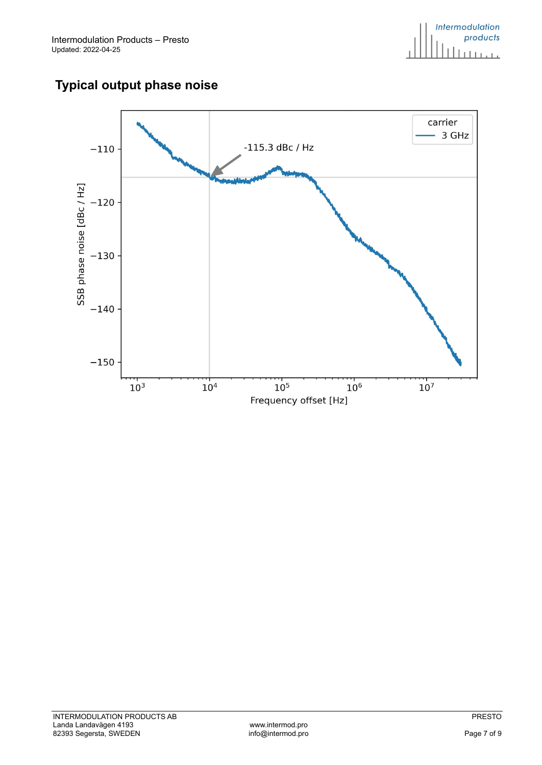

### **Typical output phase noise**

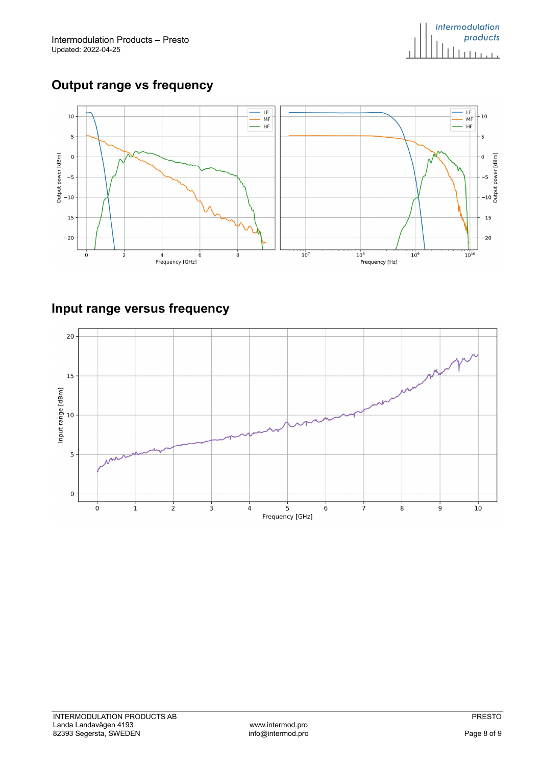

### **Output range vs frequency**



## **Input range versus frequency**